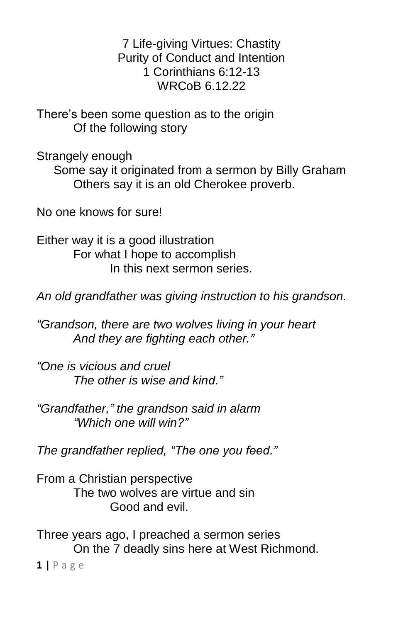7 Life-giving Virtues: Chastity Purity of Conduct and Intention 1 Corinthians 6:12-13 WRCoB 6.12.22

There's been some question as to the origin Of the following story

Strangely enough

 Some say it originated from a sermon by Billy Graham Others say it is an old Cherokee proverb.

No one knows for sure!

Either way it is a good illustration For what I hope to accomplish In this next sermon series.

*An old grandfather was giving instruction to his grandson.*

*"Grandson, there are two wolves living in your heart And they are fighting each other."*

*"One is vicious and cruel The other is wise and kind."*

*"Grandfather," the grandson said in alarm "Which one will win?"*

*The grandfather replied, "The one you feed."*

From a Christian perspective The two wolves are virtue and sin Good and evil.

Three years ago, I preached a sermon series On the 7 deadly sins here at West Richmond.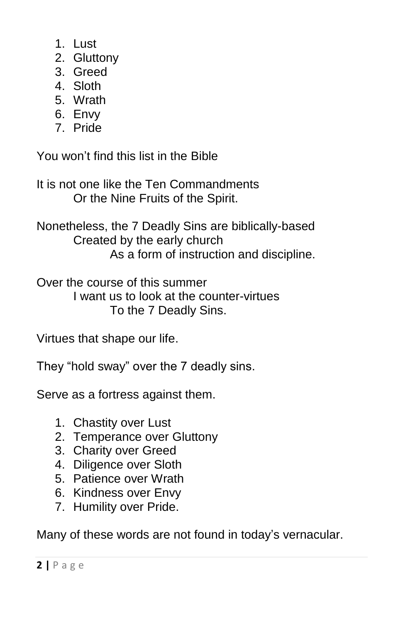- 1. Lust
- 2. Gluttony
- 3. Greed
- 4. Sloth
- 5. Wrath
- 6. Envy
- 7. Pride

You won't find this list in the Bible

It is not one like the Ten Commandments Or the Nine Fruits of the Spirit.

Nonetheless, the 7 Deadly Sins are biblically-based Created by the early church As a form of instruction and discipline.

Over the course of this summer I want us to look at the counter-virtues To the 7 Deadly Sins.

Virtues that shape our life.

They "hold sway" over the 7 deadly sins.

Serve as a fortress against them.

- 1. Chastity over Lust
- 2. Temperance over Gluttony
- 3. Charity over Greed
- 4. Diligence over Sloth
- 5. Patience over Wrath
- 6. Kindness over Envy
- 7. Humility over Pride.

Many of these words are not found in today's vernacular.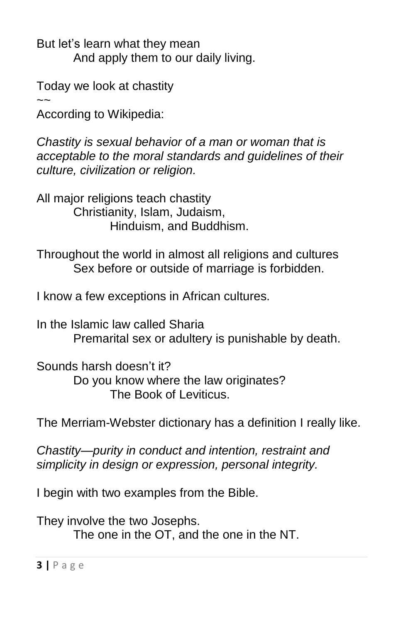But let's learn what they mean And apply them to our daily living.

Today we look at chastity

 $\sim$ According to Wikipedia:

*Chastity is [sexual behavior](https://en.wikipedia.org/wiki/Human_sexual_activity) of a man or woman that is acceptable to the [moral](https://en.wikipedia.org/wiki/Morals) standards and guidelines of their culture, civilization or [religion.](https://en.wikipedia.org/wiki/Religion)* 

All major religions teach chastity Christianity, Islam, Judaism, Hinduism, and Buddhism.

Throughout the world in almost all religions and cultures Sex before or outside of marriage is forbidden.

I know a few exceptions in African cultures.

In the Islamic law called Sharia Premarital sex or adultery is punishable by death.

Sounds harsh doesn't it? Do you know where the law originates? The Book of Leviticus.

The Merriam-Webster dictionary has a definition I really like.

*Chastity—purity in conduct and intention, restraint and simplicity in design or expression, personal integrity.*

I begin with two examples from the Bible.

They involve the two Josephs.

The one in the OT, and the one in the NT.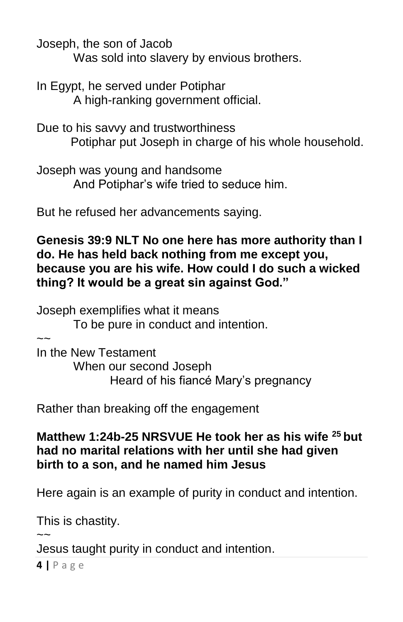Joseph, the son of Jacob

Was sold into slavery by envious brothers.

In Egypt, he served under Potiphar A high-ranking government official.

Due to his savvy and trustworthiness Potiphar put Joseph in charge of his whole household.

Joseph was young and handsome And Potiphar's wife tried to seduce him.

But he refused her advancements saying.

## **Genesis 39:9 NLT No one here has more authority than I do. He has held back nothing from me except you, because you are his wife. How could I do such a wicked thing? It would be a great sin against God."**

Joseph exemplifies what it means To be pure in conduct and intention.  $\sim$ 

In the New Testament When our second Joseph Heard of his fiancé Mary's pregnancy

Rather than breaking off the engagement

## **Matthew 1:24b-25 NRSVUE He took her as his wife <sup>25</sup> but had no marital relations with her until she had given birth to a son, and he named him Jesus**

Here again is an example of purity in conduct and intention.

This is chastity.

 $\sim$ Jesus taught purity in conduct and intention.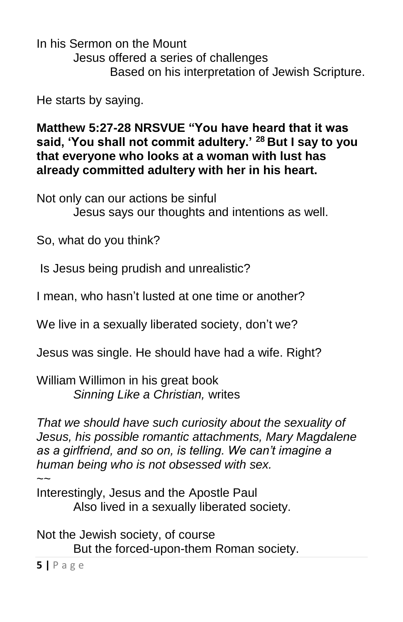In his Sermon on the Mount Jesus offered a series of challenges Based on his interpretation of Jewish Scripture.

He starts by saying.

**Matthew 5:27-28 NRSVUE "You have heard that it was said, 'You shall not commit adultery.' <sup>28</sup> But I say to you that everyone who looks at a woman with lust has already committed adultery with her in his heart.**

Not only can our actions be sinful Jesus says our thoughts and intentions as well.

So, what do you think?

Is Jesus being prudish and unrealistic?

I mean, who hasn't lusted at one time or another?

We live in a sexually liberated society, don't we?

Jesus was single. He should have had a wife. Right?

William Willimon in his great book *Sinning Like a Christian,* writes

*That we should have such curiosity about the sexuality of Jesus, his possible romantic attachments, Mary Magdalene as a girlfriend, and so on, is telling. We can't imagine a human being who is not obsessed with sex.*   $\sim$ 

Interestingly, Jesus and the Apostle Paul Also lived in a sexually liberated society.

**5 |** P a g e Not the Jewish society, of course But the forced-upon-them Roman society.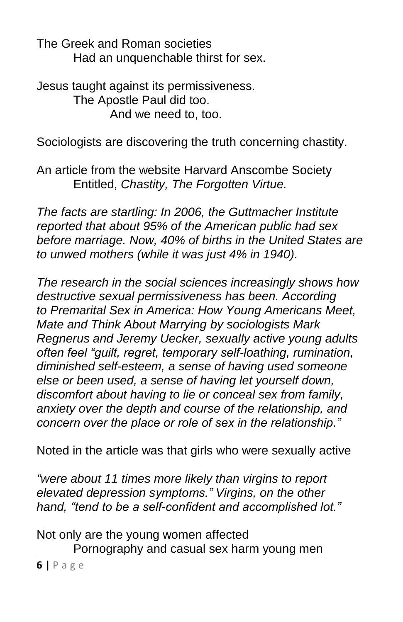The Greek and Roman societies Had an unquenchable thirst for sex.

Jesus taught against its permissiveness. The Apostle Paul did too. And we need to, too.

Sociologists are discovering the truth concerning chastity.

An article from the website Harvard Anscombe Society Entitled, *Chastity, The Forgotten Virtue.*

*The facts are startling: In 2006, the Guttmacher Institute reported that about 95% of the American public had sex before marriage. Now, 40% of births in the United States are to unwed mothers (while it was just 4% in 1940).*

*The research in the social sciences increasingly shows how destructive sexual permissiveness has been. According to Premarital Sex in America: How Young Americans Meet, Mate and Think About Marrying by sociologists Mark Regnerus and Jeremy Uecker, sexually active young adults often feel "guilt, regret, temporary self-loathing, rumination, diminished self-esteem, a sense of having used someone else or been used, a sense of having let yourself down, discomfort about having to lie or conceal sex from family, anxiety over the depth and course of the relationship, and concern over the place or role of sex in the relationship."*

Noted in the article was that girls who were sexually active

*"were about 11 times more likely than virgins to report elevated depression symptoms." Virgins, on the other hand, "tend to be a self-confident and accomplished lot."*

**6 |** P a g e Not only are the young women affected Pornography and casual sex harm young men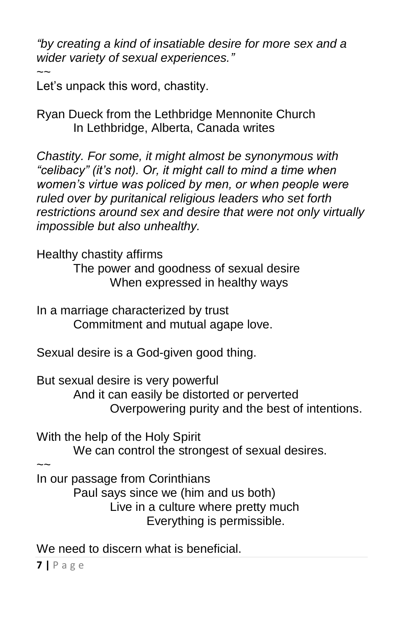*"by creating a kind of insatiable desire for more sex and a wider variety of sexual experiences."*

 $\sim$ Let's unpack this word, chastity.

Ryan Dueck from the Lethbridge Mennonite Church In Lethbridge, Alberta, Canada writes

*Chastity. For some, it might almost be synonymous with "celibacy" (it's not). Or, it might call to mind a time when women's virtue was policed by men, or when people were ruled over by puritanical religious leaders who set forth restrictions around sex and desire that were not only virtually impossible but also unhealthy.* 

Healthy chastity affirms

The power and goodness of sexual desire When expressed in healthy ways

In a marriage characterized by trust Commitment and mutual agape love.

Sexual desire is a God-given good thing.

But sexual desire is very powerful And it can easily be distorted or perverted Overpowering purity and the best of intentions.

With the help of the Holy Spirit

We can control the strongest of sexual desires.

 $\sim$ 

In our passage from Corinthians

Paul says since we (him and us both) Live in a culture where pretty much Everything is permissible.

We need to discern what is beneficial.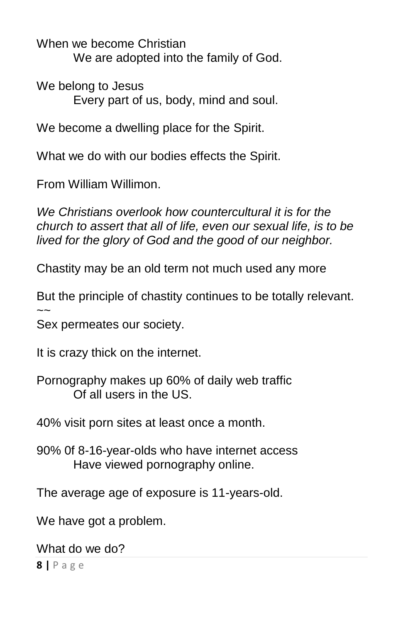When we become Christian We are adopted into the family of God.

We belong to Jesus Every part of us, body, mind and soul.

We become a dwelling place for the Spirit.

What we do with our bodies effects the Spirit.

From William Willimon.

*We Christians overlook how countercultural it is for the church to assert that all of life, even our sexual life, is to be lived for the glory of God and the good of our neighbor.*

Chastity may be an old term not much used any more

But the principle of chastity continues to be totally relevant.  $\sim$ 

Sex permeates our society.

It is crazy thick on the internet.

Pornography makes up 60% of daily web traffic Of all users in the US.

40% visit porn sites at least once a month.

90% 0f 8-16-year-olds who have internet access Have viewed pornography online.

The average age of exposure is 11-years-old.

We have got a problem.

What do we do?